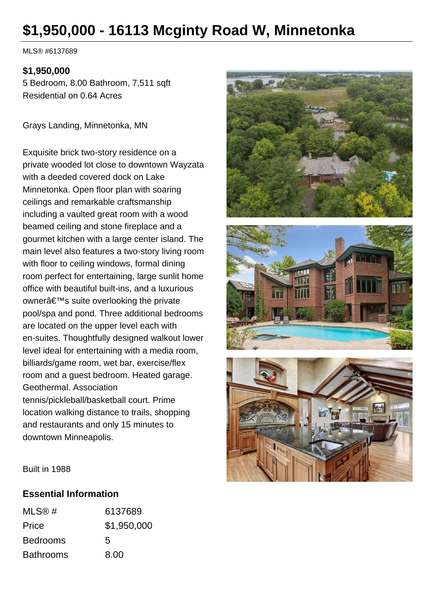# **\$1,950,000 - 16113 Mcginty Road W, Minnetonka**

MLS® #6137689

#### **\$1,950,000**

5 Bedroom, 8.00 Bathroom, 7,511 sqft Residential on 0.64 Acres

Grays Landing, Minnetonka, MN

Exquisite brick two-story residence on a private wooded lot close to downtown Wayzata with a deeded covered dock on Lake Minnetonka. Open floor plan with soaring ceilings and remarkable craftsmanship including a vaulted great room with a wood beamed ceiling and stone fireplace and a gourmet kitchen with a large center island. The main level also features a two-story living room with floor to ceiling windows, formal dining room perfect for entertaining, large sunlit home office with beautiful built-ins, and a luxurious owner's suite overlooking the private pool/spa and pond. Three additional bedrooms are located on the upper level each with en-suites. Thoughtfully designed walkout lower level ideal for entertaining with a media room, billiards/game room, wet bar, exercise/flex room and a guest bedroom. Heated garage. Geothermal. Association tennis/pickleball/basketball court. Prime location walking distance to trails, shopping and restaurants and only 15 minutes to downtown Minneapolis.







Built in 1988

#### **Essential Information**

| MLS@#            | 6137689     |
|------------------|-------------|
| Price            | \$1,950,000 |
| <b>Bedrooms</b>  | 5           |
| <b>Bathrooms</b> | 8.00        |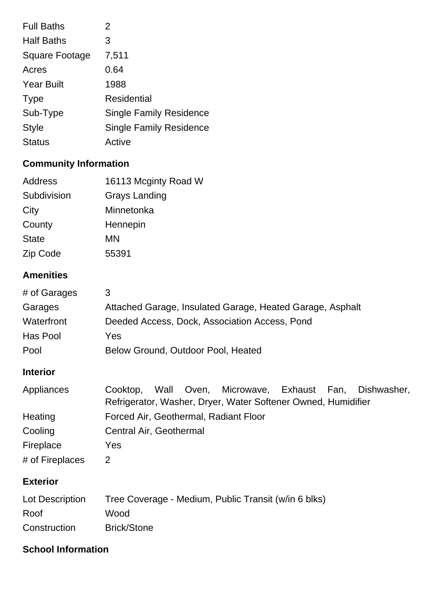| <b>Full Baths</b> | 2                              |
|-------------------|--------------------------------|
| <b>Half Baths</b> | 3                              |
| Square Footage    | 7,511                          |
| Acres             | 0.64                           |
| <b>Year Built</b> | 1988                           |
| <b>Type</b>       | <b>Residential</b>             |
| Sub-Type          | <b>Single Family Residence</b> |
| <b>Style</b>      | <b>Single Family Residence</b> |
| <b>Status</b>     | Active                         |

## **Community Information**

| 16113 Mcginty Road W |
|----------------------|
| Grays Landing        |
| Minnetonka           |
| Hennepin             |
| ΜN                   |
| 55391                |
|                      |

## **Amenities**

| # of Garages    | 3                                                                                                                                    |
|-----------------|--------------------------------------------------------------------------------------------------------------------------------------|
| Garages         | Attached Garage, Insulated Garage, Heated Garage, Asphalt                                                                            |
| Waterfront      | Deeded Access, Dock, Association Access, Pond                                                                                        |
| Has Pool        | Yes                                                                                                                                  |
| Pool            | Below Ground, Outdoor Pool, Heated                                                                                                   |
| <b>Interior</b> |                                                                                                                                      |
| Appliances      | Microwave, Exhaust Fan,<br>Dishwasher,<br>Wall<br>Oven,<br>Cooktop,<br>Refrigerator, Washer, Dryer, Water Softener Owned, Humidifier |

| Heating         | Forced Air, Geothermal, Radiant Floor |
|-----------------|---------------------------------------|
| Cooling         | Central Air, Geothermal               |
| Fireplace       | Yes                                   |
| # of Fireplaces |                                       |

## **Exterior**

| Lot Description | Tree Coverage - Medium, Public Transit (w/in 6 blks) |
|-----------------|------------------------------------------------------|
| Roof            | Wood                                                 |
| Construction    | <b>Brick/Stone</b>                                   |

## **School Information**